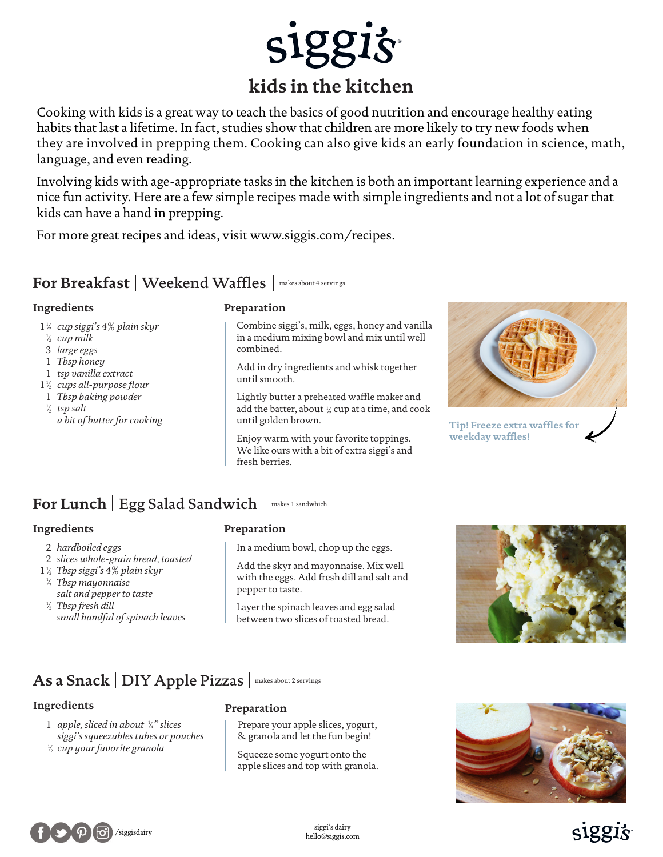

Cooking with kids is a great way to teach the basics of good nutrition and encourage healthy eating habits that last a lifetime. In fact, studies show that children are more likely to try new foods when they are involved in prepping them. Cooking can also give kids an early foundation in science, math, language, and even reading.

Involving kids with age-appropriate tasks in the kitchen is both an important learning experience and a nice fun activity. Here are a few simple recipes made with simple ingredients and not a lot of sugar that kids can have a hand in prepping.

For more great recipes and ideas, visit www.siggis.com/recipes.

### $\texttt{For Breakfast} \mid \text{Weekend Warfles} \mid \text{\tiny makes about 4 servers}$

### **Ingredients**

- *cup siggi's 4% plain skyr* 1 1 /2
- <sup>1</sup>/<sub>2</sub> cup milk
- *large eggs* 3
- *Tbsp honey* 1
- *tsp vanilla extract* 1
- 1<sup>1/2</sup> cups all-purpose flour
- *Tbsp baking powder* 1
- *tsp salt* 1 *a bit of butter for cooking*

### **Preparation**

Combine siggi's, milk, eggs, honey and vanilla in a medium mixing bowl and mix until well combined.

Add in dry ingredients and whisk together until smooth.

Lightly butter a preheated waffle maker and  $\frac{1}{2}$  tsp salt the batter, about  $\frac{1}{2}$  cup at a time, and cook until golden brown.

> Enjoy warm with your favorite toppings. We like ours with a bit of extra siggi's and fresh berries.



**Tip! Freeze extra waffles for weekday waffles!**

# For Lunch | Egg Salad Sandwich | makes 1 sandwhich

### **Ingredients**

- 2 *hardboiled eggs*
- 2 *slices whole-grain bread, toasted*
- 1 *Tbsp siggi's 4% plain skyr* 1 /2 *Tbsp mayonnaise* 1 /2 *salt and pepper to taste*
- *Tbsp fresh dill* 1 /2 *small handful of spinach leaves*

### **Preparation**

In a medium bowl, chop up the eggs.

Add the skyr and mayonnaise. Mix well with the eggs. Add fresh dill and salt and pepper to taste.

Layer the spinach leaves and egg salad between two slices of toasted bread.



# As a Snack | DIY Apple Pizzas | makes about 2 servings

### **Ingredients**

- 1 *apple, sliced in about*  $\frac{1}{4}$ " slices *siggi's squeezables tubes or pouches*
- <sup>1</sup>/2 cup your favorite granola

### **Preparation**

Prepare your apple slices, yogurt, & granola and let the fun begin!

Squeeze some yogurt onto the apple slices and top with granola.